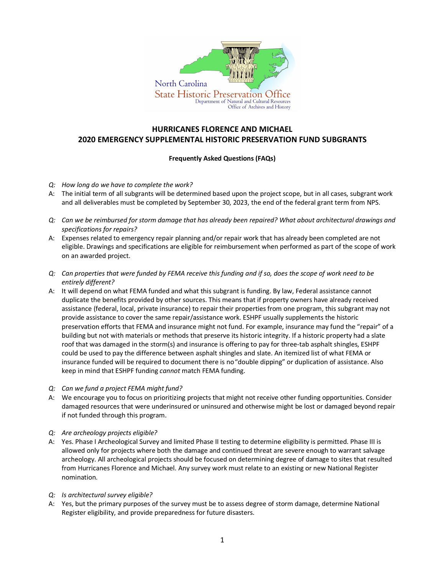

## **HURRICANES FLORENCE AND MICHAEL 2020 EMERGENCY SUPPLEMENTAL HISTORIC PRESERVATION FUND SUBGRANTS**

## **Frequently Asked Questions (FAQs)**

- *Q: How long do we have to complete the work?*
- A: The initial term of all subgrants will be determined based upon the project scope, but in all cases, subgrant work and all deliverables must be completed by September 30, 2023, the end of the federal grant term from NPS.
- *Q: Can we be reimbursed for storm damage that has already been repaired? What about architectural drawings and specifications for repairs?*
- A: Expenses related to emergency repair planning and/or repair work that has already been completed are not eligible. Drawings and specifications are eligible for reimbursement when performed as part of the scope of work on an awarded project.
- *Q: Can properties that were funded by FEMA receive this funding and if so, does the scope of work need to be entirely different?*
- A: It will depend on what FEMA funded and what this subgrant is funding. By law, Federal assistance cannot duplicate the benefits provided by other sources. This means that if property owners have already received assistance (federal, local, private insurance) to repair their properties from one program, this subgrant may not provide assistance to cover the same repair/assistance work. ESHPF usually supplements the historic preservation efforts that FEMA and insurance might not fund. For example, insurance may fund the "repair" of a building but not with materials or methods that preserve its historic integrity. If a historic property had a slate roof that was damaged in the storm(s) and insurance is offering to pay for three-tab asphalt shingles, ESHPF could be used to pay the difference between asphalt shingles and slate. An itemized list of what FEMA or insurance funded will be required to document there is no"double dipping" or duplication of assistance. Also keep in mind that ESHPF funding *cannot* match FEMA funding.
- *Q: Can we fund a project FEMA might fund?*
- A: We encourage you to focus on prioritizing projects that might not receive other funding opportunities. Consider damaged resources that were underinsured or uninsured and otherwise might be lost or damaged beyond repair if not funded through this program.
- *Q: Are archeology projects eligible?*
- A: Yes. Phase I Archeological Survey and limited Phase II testing to determine eligibility is permitted. Phase III is allowed only for projects where both the damage and continued threat are severe enough to warrant salvage archeology. All archeological projects should be focused on determining degree of damage to sites that resulted from Hurricanes Florence and Michael. Any survey work must relate to an existing or new National Register nomination.
- *Q: Is architectural survey eligible?*
- A: Yes, but the primary purposes of the survey must be to assess degree of storm damage, determine National Register eligibility, and provide preparedness for future disasters.